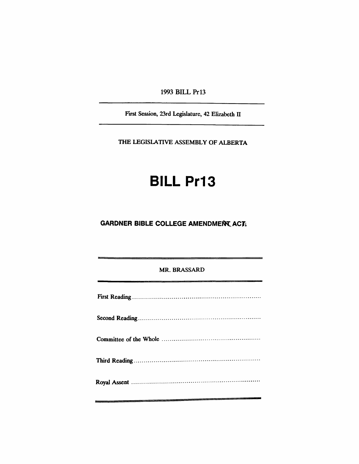1993 BILL Pr13

First Session, 23rd Legislature, 42 Elizabeth II

THE LEGISlATIVE ASSEMBLY OF ALBERTA

# **BILL Pr13**

### **GARDNER BIBLE COLLEGE AMENDMEN ACT**

MR. BRASSARD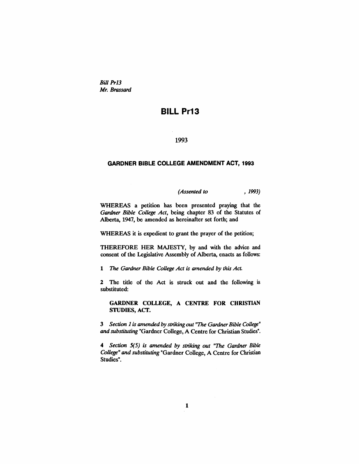*Bill Pr13 Mr. Brassard*

## BILL Pr13

#### 1993

#### GARDNER BIBLE COLLEGE AMENDMENT ACT, 1993

*(Assented to* , 1993)

WHEREAS a petition has been presented praying that the *Gardner Bible College Act,* being chapter 83 of the Statutes of Alberta, 1947, be amended as hereinafter set forth; and

WHEREAS it is expedient to grant the prayer of the petition;

THEREFORE HER MAJESTY, by and with the advice and consent of the Legislative Assembly of Alberta, enacts as follows:

1 *The Gardner Bible College Act is amended by this Act.*

2 The title of the Act is struck out and the following is substituted:

GARDNER COLLEGE, A CENTRE FOR CHRISTIAN STUDIES, ACT.

3 *Section* 1 *is amended by striking out "The GardnerBible College" and substituting* "Gardner College, A Centre for Christian Studies".

*4 Section S(*5) *is amended by striking out "The Gardner Bible College" and substituting* "Gardner College, A Centre for Christian Studies".